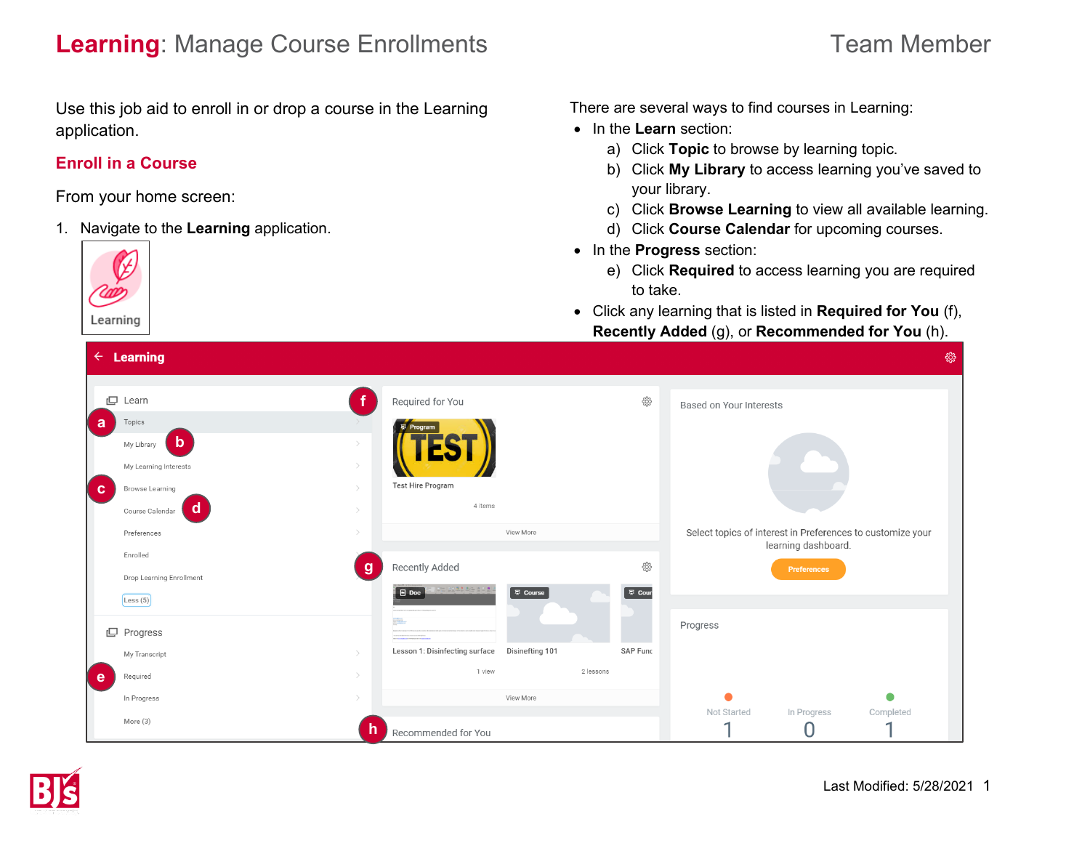# **Learning**: Manage Course Enrollments **Team Member** Team Member

Use this job aid to enroll in or drop a course in the Learning application.

## **Enroll in a Course**

From your home screen:

1. Navigate to the **Learning** application.

Learning

There are several ways to find courses in Learning:

- In the **Learn** section:
	- a) Click **Topic** to browse by learning topic.
	- b) Click **My Library** to access learning you've saved to your library.
	- c) Click **Browse Learning** to view all available learning.
	- d) Click **Course Calendar** for upcoming courses.
- In the **Progress** section:
	- e) Click **Required** to access learning you are required to take.
- Click any learning that is listed in **Required for You** (f), **Recently Added** (g), or **Recommended for You** (h).

|          | $\tau$ Learning             |               |                                            |                 |          |                                                            |                     | ್ಸರ್ಭ     |
|----------|-----------------------------|---------------|--------------------------------------------|-----------------|----------|------------------------------------------------------------|---------------------|-----------|
|          |                             |               |                                            |                 |          |                                                            |                     |           |
| ロ        | Learn                       |               | Required for You                           |                 | ද්ධු     | Based on Your Interests                                    |                     |           |
| a        | Topics                      |               | <b>厚 Program</b>                           |                 |          |                                                            |                     |           |
|          | $\mathbf b$<br>My Library   |               |                                            |                 |          |                                                            |                     |           |
|          | My Learning Interests       |               |                                            |                 |          |                                                            |                     |           |
| <b>C</b> | Browse Learning             |               | <b>Test Hire Program</b>                   |                 |          |                                                            |                     |           |
|          | <b>d</b><br>Course Calendar |               | 4 items                                    |                 |          |                                                            |                     |           |
|          | Preferences                 | $\rightarrow$ |                                            | View More       |          | Select topics of interest in Preferences to customize your | learning dashboard. |           |
|          | Enrolled                    |               | Recently Added                             |                 | ද්ථූ     |                                                            |                     |           |
|          | Drop Learning Enrollment    | g             |                                            |                 |          |                                                            | Preferences         |           |
|          | $\left[$ Less (5)           |               | 기타는 <u>3호부 한 후 6</u> 호 호 호 (<br>$\Box$ Doc | 原 Course        | 原 Cour   |                                                            |                     |           |
|          |                             |               |                                            |                 |          | Progress                                                   |                     |           |
|          | L Progress                  |               | <b><i><u>A CASTAGE RESIDENCE</u></i></b>   |                 |          |                                                            |                     |           |
|          | My Transcript               |               | Lesson 1: Disinfecting surface             | Disinefting 101 | SAP Func |                                                            |                     |           |
| e e      | Required                    |               | 1 view                                     | 2 lessons       |          |                                                            |                     |           |
|          | In Progress                 | $\mathcal{P}$ |                                            | View More       |          | σ                                                          |                     | ●         |
|          | More (3)                    |               |                                            |                 |          | Not Started<br>×                                           | In Progress         | Completed |
|          |                             | h             | Recommended for You                        |                 |          |                                                            |                     |           |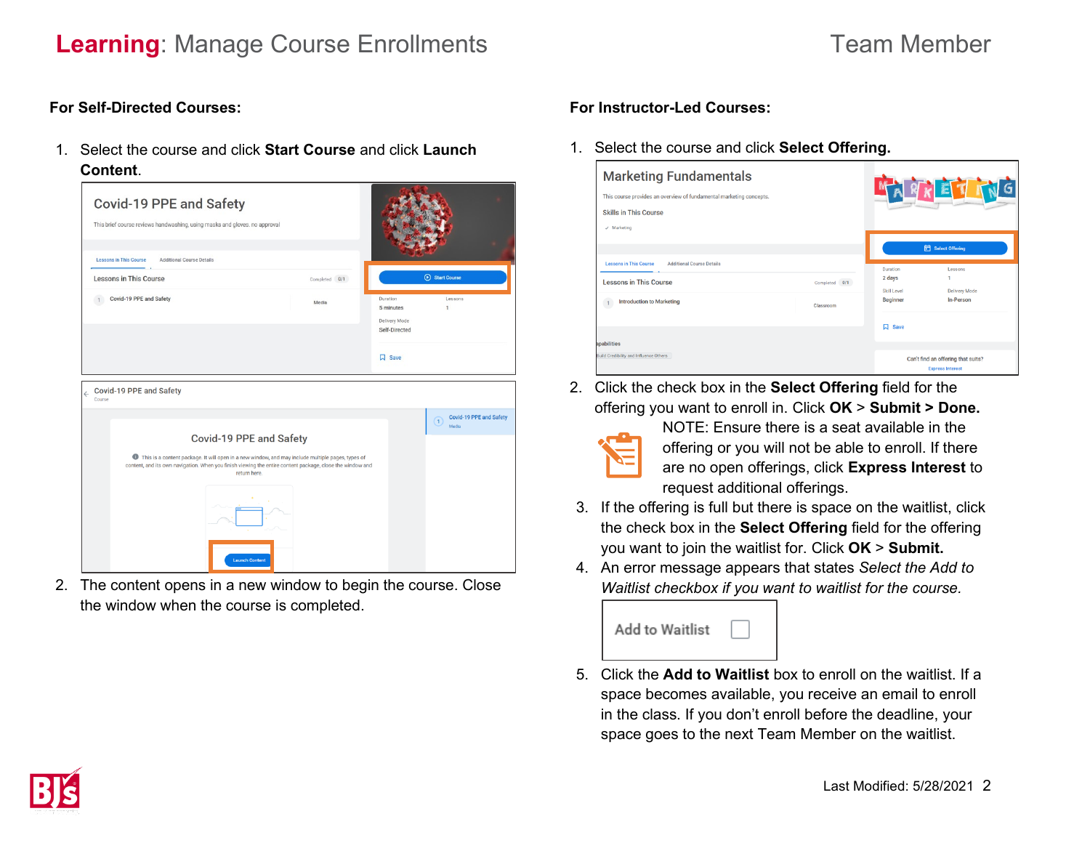# **Learning**: Manage Course Enrollments **Team Member** Team Member

#### **For Self-Directed Courses:**

1. Select the course and click **Start Course** and click **Launch Content**.



2. The content opens in a new window to begin the course. Close the window when the course is completed.

### **For Instructor-Led Courses:**

1. Select the course and click **Select Offering.** 

| <b>Marketing Fundamentals</b><br>This course provides an overview of fundamental marketing concepts.<br><b>Skills in This Course</b><br>$\checkmark$ Marketing | ARKETT        |                                     |                                                               |
|----------------------------------------------------------------------------------------------------------------------------------------------------------------|---------------|-------------------------------------|---------------------------------------------------------------|
| <b>Lessons in This Course</b><br><b>Additional Course Details</b>                                                                                              |               |                                     | <b>id</b> Select Offering                                     |
| <b>Lessons in This Course</b>                                                                                                                                  | Completed 0/1 | Duration<br>2 days<br>Skill Level   | Lessons<br>1<br><b>Delivery Mode</b>                          |
| <b>Introduction to Marketing</b>                                                                                                                               | Classroom     | <b>Beginner</b><br>口<br><b>Save</b> | In-Person                                                     |
| apabilities<br><b>Build Credibility and Influence Others</b>                                                                                                   |               |                                     | Can't find an offering that suits?<br><b>Express Interest</b> |

2. Click the check box in the **Select Offering** field for the offering you want to enroll in. Click **OK** > **Submit > Done.**



NOTE: Ensure there is a seat available in the offering or you will not be able to enroll. If there are no open offerings, click **Express Interest** to request additional offerings.

- 3. If the offering is full but there is space on the waitlist, click the check box in the **Select Offering** field for the offering you want to join the waitlist for. Click **OK** > **Submit.**
- 4. An error message appears that states *Select the Add to Waitlist checkbox if you want to waitlist for the course.*



5. Click the **Add to Waitlist** box to enroll on the waitlist. If a space becomes available, you receive an email to enroll in the class. If you don't enroll before the deadline, your space goes to the next Team Member on the waitlist.